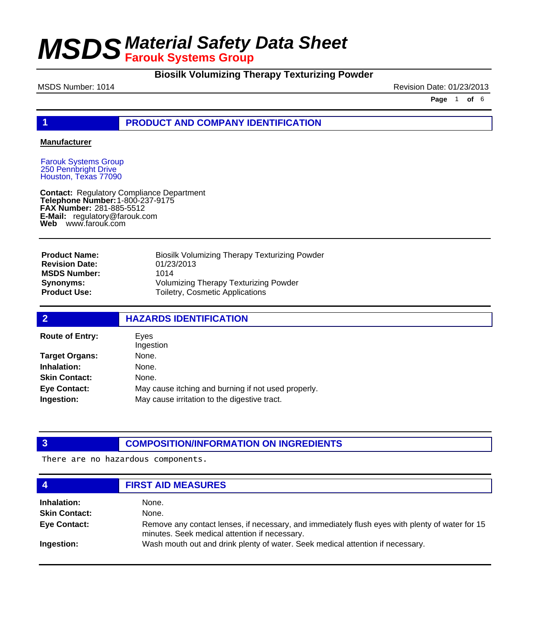## **Biosilk Volumizing Therapy Texturizing Powder**

MSDS Number: 1014 **Revision Date: 01/23/2013** 

**Page** 1 **of** 6

### **1 PRODUCT AND COMPANY IDENTIFICATION**

### **Manufacturer**

Farouk Systems Group 250 Pennbright Drive Houston, Texas 77090

**Contact: Telephone Number: FAX Number:** 281-885-5512 **E-Mail:** regulatory@farouk.com **Web** www.farouk.com Regulatory Compliance Department 1-800-237-9175

**Product Name: Revision Date: MSDS Number: Synonyms: Product Use:**

Biosilk Volumizing Therapy Texturizing Powder 01/23/2013 1014 Volumizing Therapy Texturizing Powder Toiletry, Cosmetic Applications

| $\overline{2}$         | <b>HAZARDS IDENTIFICATION</b>                       |  |  |
|------------------------|-----------------------------------------------------|--|--|
| <b>Route of Entry:</b> | Eves<br>Ingestion                                   |  |  |
| <b>Target Organs:</b>  | None.                                               |  |  |
| Inhalation:            | None.                                               |  |  |
| <b>Skin Contact:</b>   | None.                                               |  |  |
| <b>Eye Contact:</b>    | May cause itching and burning if not used properly. |  |  |
| Ingestion:             | May cause irritation to the digestive tract.        |  |  |

## **3 COMPOSITION/INFORMATION ON INGREDIENTS**

There are no hazardous components.

| 4                    | <b>FIRST AID MEASURES</b>                                                                                                                        |
|----------------------|--------------------------------------------------------------------------------------------------------------------------------------------------|
| Inhalation:          | None.                                                                                                                                            |
| <b>Skin Contact:</b> | None.                                                                                                                                            |
| <b>Eye Contact:</b>  | Remove any contact lenses, if necessary, and immediately flush eyes with plenty of water for 15<br>minutes. Seek medical attention if necessary. |
| Ingestion:           | Wash mouth out and drink plenty of water. Seek medical attention if necessary.                                                                   |
|                      |                                                                                                                                                  |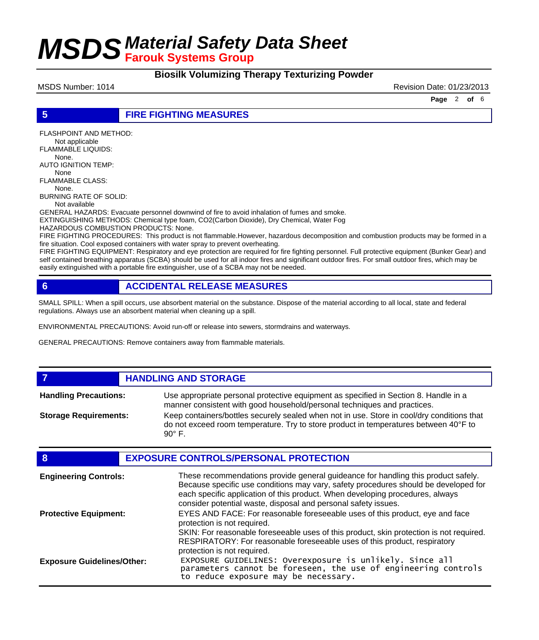## **Biosilk Volumizing Therapy Texturizing Powder**

MSDS Number: 1014 **Revision Date: 01/23/2013** 

**Page** 2 **of** 6

### **5 FIRE FIGHTING MEASURES**

FLASHPOINT AND METHOD: Not applicable FLAMMABLE LIQUIDS: None. AUTO IGNITION TEMP: None FLAMMABLE CLASS: None. BURNING RATE OF SOLID:

Not available

GENERAL HAZARDS: Evacuate personnel downwind of fire to avoid inhalation of fumes and smoke. EXTINGUISHING METHODS: Chemical type foam, CO2(Carbon Dioxide), Dry Chemical, Water Fog

HAZARDOUS COMBUSTION PRODUCTS: None.

FIRE FIGHTING PROCEDURES: This product is not flammable.However, hazardous decomposition and combustion products may be formed in a fire situation. Cool exposed containers with water spray to prevent overheating.

FIRE FIGHTING EQUIPMENT: Respiratory and eye protection are required for fire fighting personnel. Full protective equipment (Bunker Gear) and self contained breathing apparatus (SCBA) should be used for all indoor fires and significant outdoor fires. For small outdoor fires, which may be easily extinguished with a portable fire extinguisher, use of a SCBA may not be needed.

## **6 ACCIDENTAL RELEASE MEASURES**

SMALL SPILL: When a spill occurs, use absorbent material on the substance. Dispose of the material according to all local, state and federal regulations. Always use an absorbent material when cleaning up a spill.

ENVIRONMENTAL PRECAUTIONS: Avoid run-off or release into sewers, stormdrains and waterways.

GENERAL PRECAUTIONS: Remove containers away from flammable materials.

### **7 HANDLING AND STORAGE**

Use appropriate personal protective equipment as specified in Section 8. Handle in a manner consistent with good household/personal techniques and practices. **Handling Precautions:** Keep containers/bottles securely sealed when not in use. Store in cool/dry conditions that do not exceed room temperature. Try to store product in temperatures between 40°F to  $90^\circ$  F. **Storage Requirements:**

| 8                                 | <b>EXPOSURE CONTROLS/PERSONAL PROTECTION</b>                                                                                                                                                                                                                                                                                |
|-----------------------------------|-----------------------------------------------------------------------------------------------------------------------------------------------------------------------------------------------------------------------------------------------------------------------------------------------------------------------------|
| <b>Engineering Controls:</b>      | These recommendations provide general guideance for handling this product safely.<br>Because specific use conditions may vary, safety procedures should be developed for<br>each specific application of this product. When developing procedures, always<br>consider potential waste, disposal and personal safety issues. |
| <b>Protective Equipment:</b>      | EYES AND FACE: For reasonable foreseeable uses of this product, eye and face<br>protection is not required.<br>SKIN: For reasonable foreseeable uses of this product, skin protection is not required.                                                                                                                      |
|                                   | RESPIRATORY: For reasonable foreseeable uses of this product, respiratory<br>protection is not required.                                                                                                                                                                                                                    |
| <b>Exposure Guidelines/Other:</b> | EXPOSURE GUIDELINES: Overexposure is unlikely. Since all<br>parameters cannot be foreseen, the use of engineering controls<br>to reduce exposure may be necessary.                                                                                                                                                          |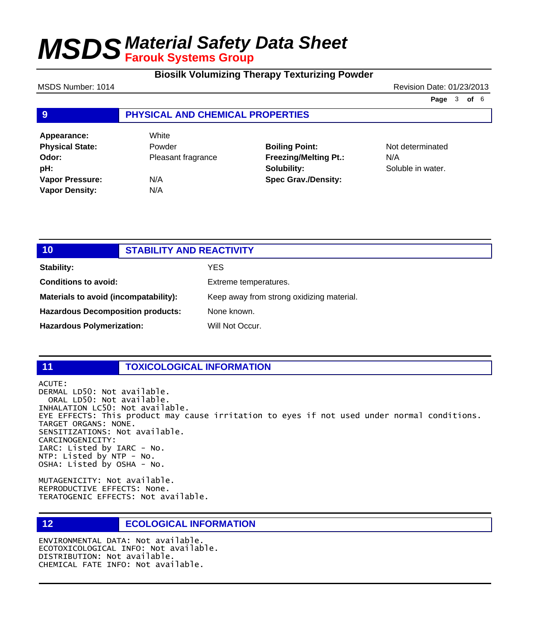## **Biosilk Volumizing Therapy Texturizing Powder**

MSDS Number: 1014 **Revision Date: 01/23/2013** 

**Page** 3 **of** 6

## **9 PHYSICAL AND CHEMICAL PROPERTIES**

| Appearance:            |  |
|------------------------|--|
| <b>Physical State:</b> |  |
| Odor:                  |  |
| pH:                    |  |
| Vapor Pressure:        |  |
| <b>Vapor Density:</b>  |  |

**Appearance:** White Powder **Odor:** Pleasant fragrance **Vapor Pressure:** N/A **Vapor Density:** N/A

**Boiling Point:** Not determinated **Freezing/Melting Pt.:** N/A **Solubility:** Soluble in water. **Spec Grav./Density:**

| 10<br><b>STABILITY AND REACTIVITY</b>    |  |                                           |  |
|------------------------------------------|--|-------------------------------------------|--|
| <b>Stability:</b>                        |  | <b>YES</b>                                |  |
| <b>Conditions to avoid:</b>              |  | Extreme temperatures.                     |  |
| Materials to avoid (incompatability):    |  | Keep away from strong oxidizing material. |  |
| <b>Hazardous Decomposition products:</b> |  | None known.                               |  |
| <b>Hazardous Polymerization:</b>         |  | Will Not Occur.                           |  |

### **11 TOXICOLOGICAL INFORMATION**

ACUTE: DERMAL LD50: Not available. ORAL LD50: Not available. INHALATION LC50: Not available. EYE EFFECTS: This product may cause irritation to eyes if not used under normal conditions. TARGET ORGANS: NONE. SENSITIZATIONS: Not available. CARCINOGENICITY: IARC: Listed by IARC - No. NTP: Listed by NTP - No. OSHA: Listed by OSHA - No.

MUTAGENICITY: Not available. REPRODUCTIVE EFFECTS: None. TERATOGENIC EFFECTS: Not available.

**12 ECOLOGICAL INFORMATION** 

ENVIRONMENTAL DATA: Not available. ECOTOXICOLOGICAL INFO: Not available. DISTRIBUTION: Not available. CHEMICAL FATE INFO: Not available.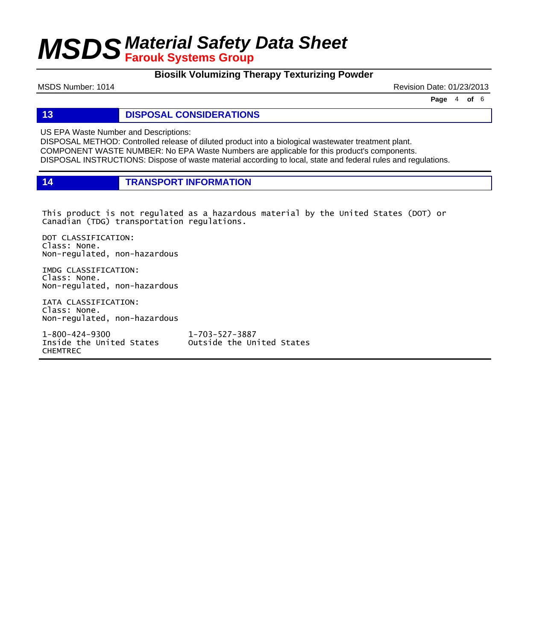**Biosilk Volumizing Therapy Texturizing Powder**

MSDS Number: 1014 **Revision Date: 01/23/2013** 

**Page** 4 **of** 6

**13 DISPOSAL CONSIDERATIONS** 

US EPA Waste Number and Descriptions:

DISPOSAL METHOD: Controlled release of diluted product into a biological wastewater treatment plant. COMPONENT WASTE NUMBER: No EPA Waste Numbers are applicable for this product's components. DISPOSAL INSTRUCTIONS: Dispose of waste material according to local, state and federal rules and regulations.

**14 TRANSPORT INFORMATION**

This product is not regulated as a hazardous material by the United States (DOT) or Canadian (TDG) transportation regulations.

DOT CLASSIFICATION: Class: None. Non-regulated, non-hazardous

IMDG CLASSIFICATION: Class: None. Non-regulated, non-hazardous

IATA CLASSIFICATION: Class: None. Non-regulated, non-hazardous

1-800-424-9300 1-703-527-3887 CHEMTREC

Outside the United States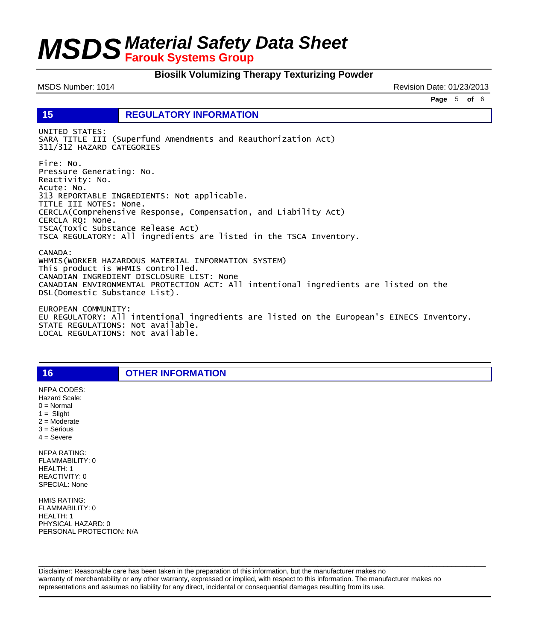### **Biosilk Volumizing Therapy Texturizing Powder**

MSDS Number: 1014 **Revision Date: 01/23/2013** 

**Page** 5 **of** 6

**15 REGULATORY INFORMATION**

UNITED STATES: SARA TITLE III (Superfund Amendments and Reauthorization Act) 311/312 HAZARD CATEGORIES

Fire: No. Pressure Generating: No. Reactivity: No. Acute: No. 313 REPORTABLE INGREDIENTS: Not applicable. TITLE III NOTES: None. CERCLA(Comprehensive Response, Compensation, and Liability Act) CERCLA RQ: None. TSCA(Toxic Substance Release Act) TSCA REGULATORY: All ingredients are listed in the TSCA Inventory.

CANADA: WHMIS(WORKER HAZARDOUS MATERIAL INFORMATION SYSTEM) This product is WHMIS controlled. CANADIAN INGREDIENT DISCLOSURE LIST: None CANADIAN ENVIRONMENTAL PROTECTION ACT: All intentional ingredients are listed on the DSL(Domestic Substance List).

EUROPEAN COMMUNITY: EU REGULATORY: All intentional ingredients are listed on the European's EINECS Inventory. STATE REGULATIONS: Not available. LOCAL REGULATIONS: Not available.

**16 OTHER INFORMATION**

 $1 =$  Slight 2 = Moderate 3 = Serious  $4 =$  Severe NFPA RATING: FLAMMABILITY: 0 HEALTH: 1 REACTIVITY: 0

NFPA CODES: Hazard Scale:  $0 =$  Normal

SPECIAL: None HMIS RATING:

FLAMMABILITY: 0 HEALTH: 1 PHYSICAL HAZARD: 0 PERSONAL PROTECTION: N/A

Disclaimer: Reasonable care has been taken in the preparation of this information, but the manufacturer makes no warranty of merchantability or any other warranty, expressed or implied, with respect to this information. The manufacturer makes no representations and assumes no liability for any direct, incidental or consequential damages resulting from its use.

 $\Box$  . The contribution of the contribution of the contribution of the contribution of the contribution of the contribution of the contribution of the contribution of the contribution of the contribution of the contributi